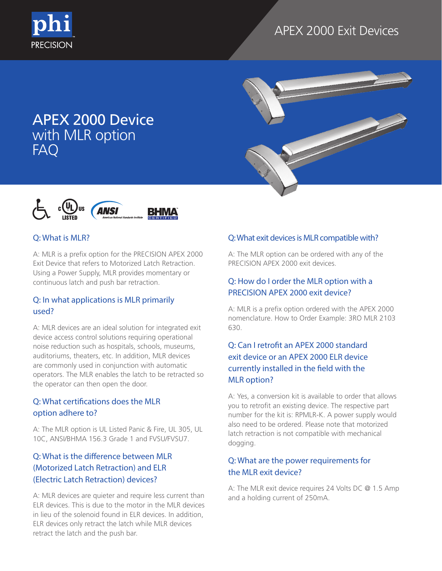





#### Q: What is MLR?

**PRECISION** 

A: MLR is a prefix option for the PRECISION APEX 2000 Exit Device that refers to Motorized Latch Retraction. Using a Power Supply, MLR provides momentary or continuous latch and push bar retraction.

#### Q: In what applications is MLR primarily used?

A: MLR devices are an ideal solution for integrated exit device access control solutions requiring operational noise reduction such as hospitals, schools, museums, auditoriums, theaters, etc. In addition, MLR devices are commonly used in conjunction with automatic operators. The MLR enables the latch to be retracted so the operator can then open the door.

### Q: What certifications does the MLR option adhere to?

A: The MLR option is UL Listed Panic & Fire, UL 305, UL 10C, ANSI/BHMA 156.3 Grade 1 and FVSU/FVSU7.

# Q: What is the difference between MLR (Motorized Latch Retraction) and ELR (Electric Latch Retraction) devices?

A: MLR devices are quieter and require less current than ELR devices. This is due to the motor in the MLR devices in lieu of the solenoid found in ELR devices. In addition, ELR devices only retract the latch while MLR devices retract the latch and the push bar.

#### Q: What exit devices is MLR compatible with?

A: The MLR option can be ordered with any of the PRECISION APEX 2000 exit devices.

### Q: How do I order the MLR option with a PRECISION APEX 2000 exit device?

A: MLR is a prefix option ordered with the APEX 2000 nomenclature. How to Order Example: 3RO MLR 2103 630.

# Q: Can I retrofit an APEX 2000 standard exit device or an APEX 2000 ELR device currently installed in the field with the MLR option?

A: Yes, a conversion kit is available to order that allows you to retrofit an existing device. The respective part number for the kit is: RPMLR-K. A power supply would also need to be ordered. Please note that motorized latch retraction is not compatible with mechanical dogging.

### Q: What are the power requirements for the MLR exit device?

A: The MLR exit device requires 24 Volts DC @ 1.5 Amp and a holding current of 250mA.